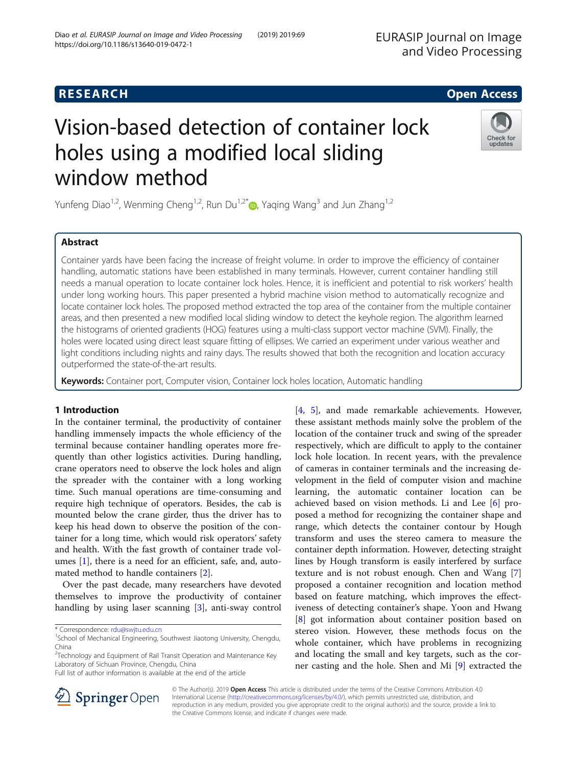# **RESEARCH CHE Open Access**

# Vision-based detection of container lock holes using a modified local sliding window method

Yunfeng Diao<sup>1,2</sup>, Wenming Cheng<sup>1,2</sup>, Run Du<sup>1,2\*</sup>  $\odot$ , Yaqing Wang<sup>3</sup> and Jun Zhang<sup>1,2</sup>

# Abstract

Container yards have been facing the increase of freight volume. In order to improve the efficiency of container handling, automatic stations have been established in many terminals. However, current container handling still needs a manual operation to locate container lock holes. Hence, it is inefficient and potential to risk workers' health under long working hours. This paper presented a hybrid machine vision method to automatically recognize and locate container lock holes. The proposed method extracted the top area of the container from the multiple container areas, and then presented a new modified local sliding window to detect the keyhole region. The algorithm learned the histograms of oriented gradients (HOG) features using a multi-class support vector machine (SVM). Finally, the holes were located using direct least square fitting of ellipses. We carried an experiment under various weather and light conditions including nights and rainy days. The results showed that both the recognition and location accuracy outperformed the state-of-the-art results.

Keywords: Container port, Computer vision, Container lock holes location, Automatic handling

# 1 Introduction

In the container terminal, the productivity of container handling immensely impacts the whole efficiency of the terminal because container handling operates more frequently than other logistics activities. During handling, crane operators need to observe the lock holes and align the spreader with the container with a long working time. Such manual operations are time-consuming and require high technique of operators. Besides, the cab is mounted below the crane girder, thus the driver has to keep his head down to observe the position of the container for a long time, which would risk operators' safety and health. With the fast growth of container trade volumes [[1\]](#page-7-0), there is a need for an efficient, safe, and, automated method to handle containers [\[2](#page-7-0)].

Over the past decade, many researchers have devoted themselves to improve the productivity of container handling by using laser scanning [[3\]](#page-7-0), anti-sway control

\* Correspondence: [rdu@swjtu.edu.cn](mailto:rdu@swjtu.edu.cn) <sup>1</sup>

Full list of author information is available at the end of the article

[[4,](#page-7-0) [5\]](#page-7-0), and made remarkable achievements. However, these assistant methods mainly solve the problem of the location of the container truck and swing of the spreader respectively, which are difficult to apply to the container lock hole location. In recent years, with the prevalence of cameras in container terminals and the increasing development in the field of computer vision and machine learning, the automatic container location can be achieved based on vision methods. Li and Lee [[6\]](#page-7-0) proposed a method for recognizing the container shape and range, which detects the container contour by Hough transform and uses the stereo camera to measure the container depth information. However, detecting straight lines by Hough transform is easily interfered by surface texture and is not robust enough. Chen and Wang [\[7](#page-7-0)] proposed a container recognition and location method based on feature matching, which improves the effectiveness of detecting container's shape. Yoon and Hwang [[8\]](#page-7-0) got information about container position based on stereo vision. However, these methods focus on the whole container, which have problems in recognizing and locating the small and key targets, such as the corner casting and the hole. Shen and Mi [[9\]](#page-7-0) extracted the

© The Author(s). 2019 Open Access This article is distributed under the terms of the Creative Commons Attribution 4.0 International License ([http://creativecommons.org/licenses/by/4.0/\)](http://creativecommons.org/licenses/by/4.0/), which permits unrestricted use, distribution, and reproduction in any medium, provided you give appropriate credit to the original author(s) and the source, provide a link to

the Creative Commons license, and indicate if changes were made.



EURASIP Journal on Image and Video Processing



Check for updates

<sup>&</sup>lt;sup>1</sup>School of Mechanical Engineering, Southwest Jiaotong University, Chengdu, China

<sup>&</sup>lt;sup>2</sup>Technology and Equipment of Rail Transit Operation and Maintenance Key Laboratory of Sichuan Province, Chengdu, China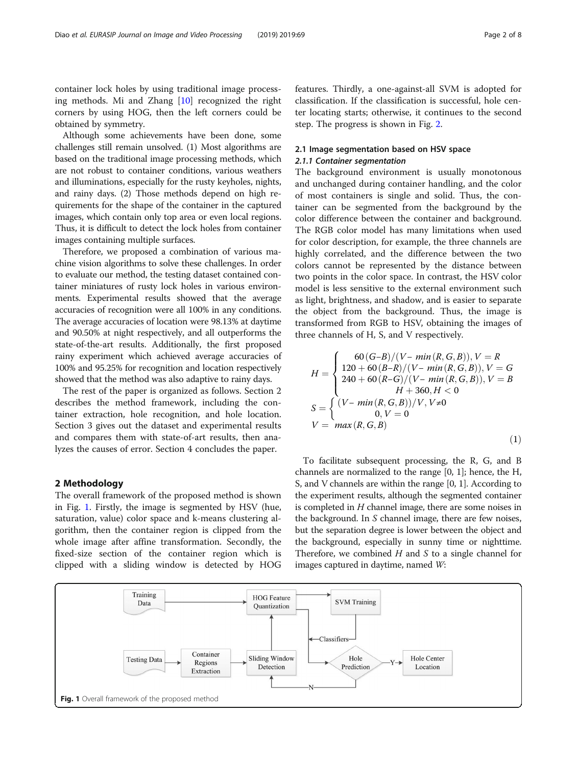container lock holes by using traditional image processing methods. Mi and Zhang [[10](#page-7-0)] recognized the right corners by using HOG, then the left corners could be obtained by symmetry.

Although some achievements have been done, some challenges still remain unsolved. (1) Most algorithms are based on the traditional image processing methods, which are not robust to container conditions, various weathers and illuminations, especially for the rusty keyholes, nights, and rainy days. (2) Those methods depend on high requirements for the shape of the container in the captured images, which contain only top area or even local regions. Thus, it is difficult to detect the lock holes from container images containing multiple surfaces.

Therefore, we proposed a combination of various machine vision algorithms to solve these challenges. In order to evaluate our method, the testing dataset contained container miniatures of rusty lock holes in various environments. Experimental results showed that the average accuracies of recognition were all 100% in any conditions. The average accuracies of location were 98.13% at daytime and 90.50% at night respectively, and all outperforms the state-of-the-art results. Additionally, the first proposed rainy experiment which achieved average accuracies of 100% and 95.25% for recognition and location respectively showed that the method was also adaptive to rainy days.

The rest of the paper is organized as follows. Section 2 describes the method framework, including the container extraction, hole recognition, and hole location. Section 3 gives out the dataset and experimental results and compares them with state-of-art results, then analyzes the causes of error. Section 4 concludes the paper.

#### 2 Methodology

The overall framework of the proposed method is shown in Fig. 1. Firstly, the image is segmented by HSV (hue, saturation, value) color space and k-means clustering algorithm, then the container region is clipped from the whole image after affine transformation. Secondly, the fixed-size section of the container region which is clipped with a sliding window is detected by HOG features. Thirdly, a one-against-all SVM is adopted for classification. If the classification is successful, hole center locating starts; otherwise, it continues to the second step. The progress is shown in Fig. [2.](#page-2-0)

## 2.1 Image segmentation based on HSV space 2.1.1 Container segmentation

The background environment is usually monotonous and unchanged during container handling, and the color of most containers is single and solid. Thus, the container can be segmented from the background by the color difference between the container and background. The RGB color model has many limitations when used for color description, for example, the three channels are highly correlated, and the difference between the two colors cannot be represented by the distance between two points in the color space. In contrast, the HSV color model is less sensitive to the external environment such as light, brightness, and shadow, and is easier to separate the object from the background. Thus, the image is transformed from RGB to HSV, obtaining the images of three channels of H, S, and V respectively.

$$
H = \begin{cases} 60(G-B)/(V - min(R, G, B)), V = R \\ 120 + 60(B-R)/(V - min(R, G, B)), V = G \\ 240 + 60(R-G)/(V - min(R, G, B)), V = B \\ H + 360, H < 0 \end{cases}
$$
  

$$
S = \begin{cases} (V - min(R, G, B))/V, V \neq 0 \\ 0, V = 0 \end{cases}
$$
  

$$
V = max(R, G, B)
$$
 (1)

To facilitate subsequent processing, the R, G, and B channels are normalized to the range [0, 1]; hence, the H, S, and V channels are within the range [0, 1]. According to the experiment results, although the segmented container is completed in  $H$  channel image, there are some noises in the background. In S channel image, there are few noises, but the separation degree is lower between the object and the background, especially in sunny time or nighttime. Therefore, we combined  $H$  and  $S$  to a single channel for images captured in daytime, named W:

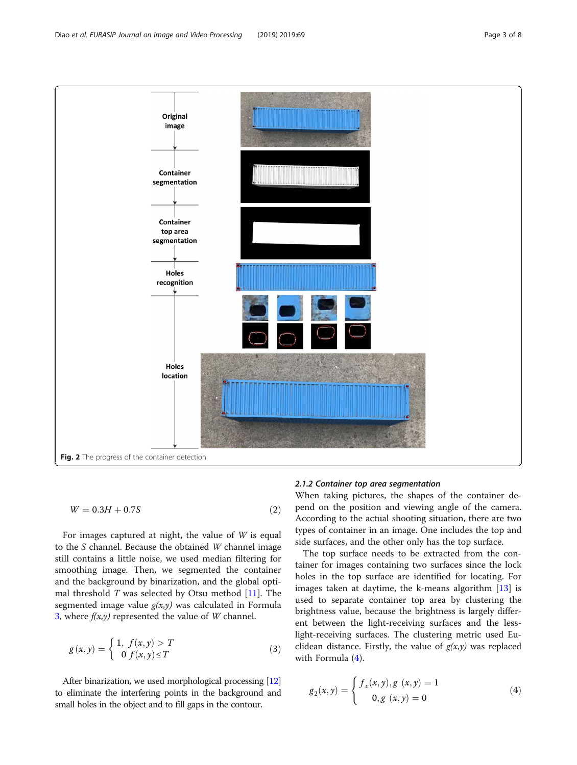<span id="page-2-0"></span>

$$
W = 0.3H + 0.7S\tag{2}
$$

For images captured at night, the value of  $W$  is equal to the S channel. Because the obtained W channel image still contains a little noise, we used median filtering for smoothing image. Then, we segmented the container and the background by binarization, and the global optimal threshold  $T$  was selected by Otsu method [[11\]](#page-7-0). The segmented image value  $g(x,y)$  was calculated in Formula 3, where  $f(x,y)$  represented the value of W channel.

$$
g(x, y) = \begin{cases} 1, & f(x, y) > T \\ 0 & f(x, y) \le T \end{cases}
$$
 (3)

After binarization, we used morphological processing [\[12](#page-7-0)] to eliminate the interfering points in the background and small holes in the object and to fill gaps in the contour.

#### 2.1.2 Container top area segmentation

When taking pictures, the shapes of the container depend on the position and viewing angle of the camera. According to the actual shooting situation, there are two types of container in an image. One includes the top and side surfaces, and the other only has the top surface.

The top surface needs to be extracted from the container for images containing two surfaces since the lock holes in the top surface are identified for locating. For images taken at daytime, the k-means algorithm [\[13](#page-7-0)] is used to separate container top area by clustering the brightness value, because the brightness is largely different between the light-receiving surfaces and the lesslight-receiving surfaces. The clustering metric used Euclidean distance. Firstly, the value of  $g(x,y)$  was replaced with Formula (4).

$$
g_2(x, y) = \begin{cases} f_v(x, y), g(x, y) = 1\\ 0, g(x, y) = 0 \end{cases}
$$
 (4)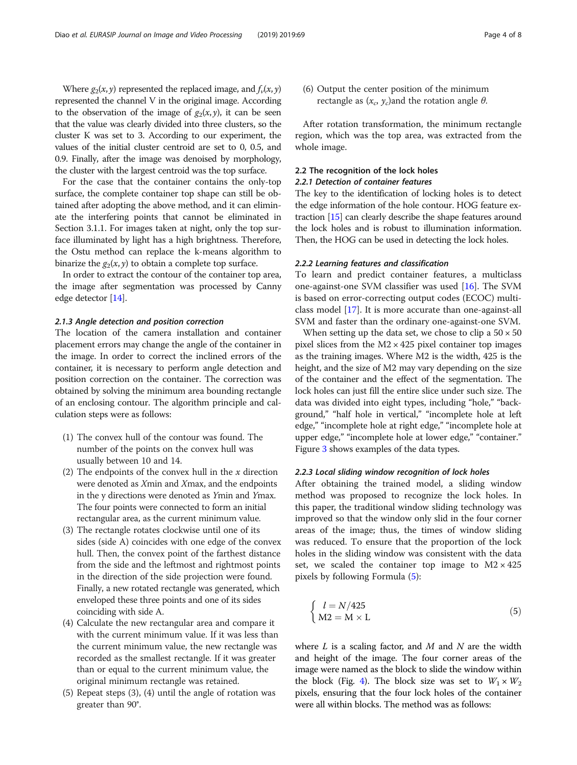Where  $g_2(x, y)$  represented the replaced image, and  $f_v(x, y)$ represented the channel V in the original image. According to the observation of the image of  $g_2(x, y)$ , it can be seen that the value was clearly divided into three clusters, so the cluster K was set to 3. According to our experiment, the values of the initial cluster centroid are set to 0, 0.5, and 0.9. Finally, after the image was denoised by morphology, the cluster with the largest centroid was the top surface.

For the case that the container contains the only-top surface, the complete container top shape can still be obtained after adopting the above method, and it can eliminate the interfering points that cannot be eliminated in Section 3.1.1. For images taken at night, only the top surface illuminated by light has a high brightness. Therefore, the Ostu method can replace the k-means algorithm to binarize the  $g_2(x, y)$  to obtain a complete top surface.

In order to extract the contour of the container top area, the image after segmentation was processed by Canny edge detector [\[14\]](#page-7-0).

#### 2.1.3 Angle detection and position correction

The location of the camera installation and container placement errors may change the angle of the container in the image. In order to correct the inclined errors of the container, it is necessary to perform angle detection and position correction on the container. The correction was obtained by solving the minimum area bounding rectangle of an enclosing contour. The algorithm principle and calculation steps were as follows:

- (1) The convex hull of the contour was found. The number of the points on the convex hull was usually between 10 and 14.
- (2) The endpoints of the convex hull in the  $x$  direction were denoted as Xmin and Xmax, and the endpoints in the y directions were denoted as Ymin and Ymax. The four points were connected to form an initial rectangular area, as the current minimum value.
- (3) The rectangle rotates clockwise until one of its sides (side A) coincides with one edge of the convex hull. Then, the convex point of the farthest distance from the side and the leftmost and rightmost points in the direction of the side projection were found. Finally, a new rotated rectangle was generated, which enveloped these three points and one of its sides coinciding with side A.
- (4) Calculate the new rectangular area and compare it with the current minimum value. If it was less than the current minimum value, the new rectangle was recorded as the smallest rectangle. If it was greater than or equal to the current minimum value, the original minimum rectangle was retained.
- (5) Repeat steps (3), (4) until the angle of rotation was greater than 90°.

(6) Output the center position of the minimum rectangle as  $(x_c, y_c)$ and the rotation angle  $\theta$ .

After rotation transformation, the minimum rectangle region, which was the top area, was extracted from the whole image.

# 2.2 The recognition of the lock holes

# 2.2.1 Detection of container features

The key to the identification of locking holes is to detect the edge information of the hole contour. HOG feature extraction [\[15\]](#page-7-0) can clearly describe the shape features around the lock holes and is robust to illumination information. Then, the HOG can be used in detecting the lock holes.

#### 2.2.2 Learning features and classification

To learn and predict container features, a multiclass one-against-one SVM classifier was used [[16\]](#page-7-0). The SVM is based on error-correcting output codes (ECOC) multiclass model [[17](#page-7-0)]. It is more accurate than one-against-all SVM and faster than the ordinary one-against-one SVM.

When setting up the data set, we chose to clip a  $50 \times 50$ pixel slices from the  $M2 \times 425$  pixel container top images as the training images. Where M2 is the width, 425 is the height, and the size of M2 may vary depending on the size of the container and the effect of the segmentation. The lock holes can just fill the entire slice under such size. The data was divided into eight types, including "hole," "background," "half hole in vertical," "incomplete hole at left edge," "incomplete hole at right edge," "incomplete hole at upper edge," "incomplete hole at lower edge," "container." Figure [3](#page-4-0) shows examples of the data types.

#### 2.2.3 Local sliding window recognition of lock holes

After obtaining the trained model, a sliding window method was proposed to recognize the lock holes. In this paper, the traditional window sliding technology was improved so that the window only slid in the four corner areas of the image; thus, the times of window sliding was reduced. To ensure that the proportion of the lock holes in the sliding window was consistent with the data set, we scaled the container top image to  $M2 \times 425$ pixels by following Formula (5):

$$
\begin{cases}\n l = N/425 \\
 M2 = M \times L\n\end{cases}
$$
\n(5)

where  $L$  is a scaling factor, and  $M$  and  $N$  are the width and height of the image. The four corner areas of the image were named as the block to slide the window within the block (Fig. [4](#page-4-0)). The block size was set to  $W_1 \times W_2$ pixels, ensuring that the four lock holes of the container were all within blocks. The method was as follows: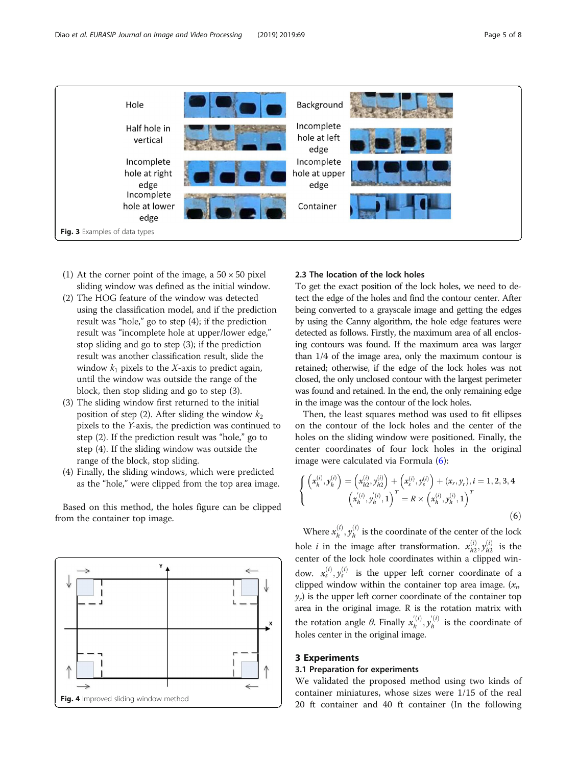<span id="page-4-0"></span>

- (1) At the corner point of the image, a  $50 \times 50$  pixel sliding window was defined as the initial window.
- (2) The HOG feature of the window was detected using the classification model, and if the prediction result was "hole," go to step (4); if the prediction result was "incomplete hole at upper/lower edge," stop sliding and go to step (3); if the prediction result was another classification result, slide the window  $k_1$  pixels to the X-axis to predict again, until the window was outside the range of the block, then stop sliding and go to step (3).
- (3) The sliding window first returned to the initial position of step (2). After sliding the window  $k_2$ pixels to the Y-axis, the prediction was continued to step (2). If the prediction result was "hole," go to step (4). If the sliding window was outside the range of the block, stop sliding.
- (4) Finally, the sliding windows, which were predicted as the "hole," were clipped from the top area image.

Based on this method, the holes figure can be clipped from the container top image.



# 2.3 The location of the lock holes

To get the exact position of the lock holes, we need to detect the edge of the holes and find the contour center. After being converted to a grayscale image and getting the edges by using the Canny algorithm, the hole edge features were detected as follows. Firstly, the maximum area of all enclosing contours was found. If the maximum area was larger than 1/4 of the image area, only the maximum contour is retained; otherwise, if the edge of the lock holes was not closed, the only unclosed contour with the largest perimeter was found and retained. In the end, the only remaining edge in the image was the contour of the lock holes.

Then, the least squares method was used to fit ellipses on the contour of the lock holes and the center of the holes on the sliding window were positioned. Finally, the center coordinates of four lock holes in the original image were calculated via Formula (6):

$$
\begin{cases}\n\left(x_h^{(i)}, y_h^{(i)}\right) = \left(x_{h2}^{(i)}, y_{h2}^{(i)}\right) + \left(x_s^{(i)}, y_s^{(i)}\right) + (x_r, y_r), i = 1, 2, 3, 4 \\
\left(x_h^{(i)}, y_h^{(i)}, 1\right)^T = R \times \left(x_h^{(i)}, y_h^{(i)}, 1\right)^T\n\end{cases}
$$
\n(6)

Where  $x_h^{(i)}$ ,  $y_h^{(i)}$  is the coordinate of the center of the lock hole *i* in the image after transformation.  $x_{h2}^{(i)}$ ,  $y_{h2}^{(i)}$  is the center of the lock hole coordinates within a clipped window.  $x_s^{(i)}, y_s^{(i)}$  is the upper left corner coordinate of a clipped window within the container top area image.  $(x_n)$  $y_r$ ) is the upper left corner coordinate of the container top area in the original image. R is the rotation matrix with the rotation angle  $\theta$ . Finally  $x_h^{(i)}$ ,  $y_h^{(i)}$  is the coordinate of holes center in the original image.

### 3 Experiments

#### 3.1 Preparation for experiments

We validated the proposed method using two kinds of container miniatures, whose sizes were 1/15 of the real 20 ft container and 40 ft container (In the following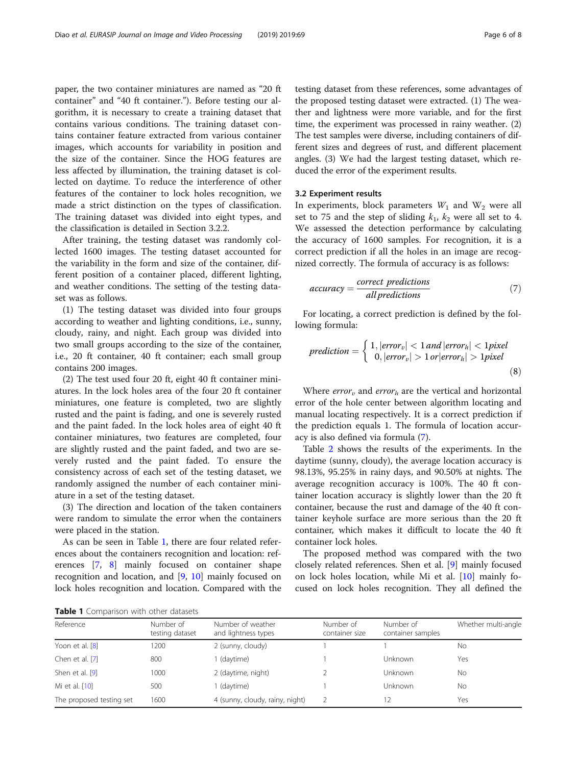paper, the two container miniatures are named as "20 ft container" and "40 ft container."). Before testing our algorithm, it is necessary to create a training dataset that contains various conditions. The training dataset contains container feature extracted from various container images, which accounts for variability in position and the size of the container. Since the HOG features are less affected by illumination, the training dataset is collected on daytime. To reduce the interference of other features of the container to lock holes recognition, we made a strict distinction on the types of classification. The training dataset was divided into eight types, and the classification is detailed in Section 3.2.2.

After training, the testing dataset was randomly collected 1600 images. The testing dataset accounted for the variability in the form and size of the container, different position of a container placed, different lighting, and weather conditions. The setting of the testing dataset was as follows.

(1) The testing dataset was divided into four groups according to weather and lighting conditions, i.e., sunny, cloudy, rainy, and night. Each group was divided into two small groups according to the size of the container, i.e., 20 ft container, 40 ft container; each small group contains 200 images.

(2) The test used four 20 ft, eight 40 ft container miniatures. In the lock holes area of the four 20 ft container miniatures, one feature is completed, two are slightly rusted and the paint is fading, and one is severely rusted and the paint faded. In the lock holes area of eight 40 ft container miniatures, two features are completed, four are slightly rusted and the paint faded, and two are severely rusted and the paint faded. To ensure the consistency across of each set of the testing dataset, we randomly assigned the number of each container miniature in a set of the testing dataset.

(3) The direction and location of the taken containers were random to simulate the error when the containers were placed in the station.

As can be seen in Table 1, there are four related references about the containers recognition and location: references [\[7](#page-7-0), [8\]](#page-7-0) mainly focused on container shape recognition and location, and [\[9](#page-7-0), [10](#page-7-0)] mainly focused on lock holes recognition and location. Compared with the testing dataset from these references, some advantages of the proposed testing dataset were extracted. (1) The weather and lightness were more variable, and for the first time, the experiment was processed in rainy weather. (2) The test samples were diverse, including containers of different sizes and degrees of rust, and different placement angles. (3) We had the largest testing dataset, which reduced the error of the experiment results.

#### 3.2 Experiment results

In experiments, block parameters  $W_1$  and  $W_2$  were all set to 75 and the step of sliding  $k_1$ ,  $k_2$  were all set to 4. We assessed the detection performance by calculating the accuracy of 1600 samples. For recognition, it is a correct prediction if all the holes in an image are recognized correctly. The formula of accuracy is as follows:

$$
accuracy = \frac{correct\ predictions}{all\ predictions} \tag{7}
$$

For locating, a correct prediction is defined by the following formula:

$$
prediction = \begin{cases} 1, |error_v| < 1 \text{ and } |error_h| < 1 \text{ pixel} \\ 0, |error_v| > 1 \text{ or } |error_h| > 1 \text{ pixel} \end{cases} \tag{8}
$$

Where  $error_v$  and  $error_h$  are the vertical and horizontal error of the hole center between algorithm locating and manual locating respectively. It is a correct prediction if the prediction equals 1. The formula of location accuracy is also defined via formula (7).

Table [2](#page-6-0) shows the results of the experiments. In the daytime (sunny, cloudy), the average location accuracy is 98.13%, 95.25% in rainy days, and 90.50% at nights. The average recognition accuracy is 100%. The 40 ft container location accuracy is slightly lower than the 20 ft container, because the rust and damage of the 40 ft container keyhole surface are more serious than the 20 ft container, which makes it difficult to locate the 40 ft container lock holes.

The proposed method was compared with the two closely related references. Shen et al. [[9\]](#page-7-0) mainly focused on lock holes location, while Mi et al. [[10](#page-7-0)] mainly focused on lock holes recognition. They all defined the

| <b>Table 1</b> Comparison with other datasets |  |  |  |
|-----------------------------------------------|--|--|--|
|-----------------------------------------------|--|--|--|

| Reference                | Number of<br>testing dataset | Number of weather<br>and lightness types | Number of<br>container size | Number of<br>container samples | Whether multi-angle |  |
|--------------------------|------------------------------|------------------------------------------|-----------------------------|--------------------------------|---------------------|--|
| Yoon et al. [8]          | 1200                         | 2 (sunny, cloudy)                        |                             |                                | No                  |  |
| Chen et al. [7]          | 800                          | 1 (daytime)                              |                             | Unknown                        | Yes                 |  |
| Shen et al. [9]          | 1000                         | 2 (daytime, night)                       |                             | Unknown                        | No                  |  |
| Mi et al. [10]           | 500                          | 1 (daytime)                              |                             | Unknown                        | <b>No</b>           |  |
| The proposed testing set | 1600                         | 4 (sunny, cloudy, rainy, night)          |                             | 12                             | Yes                 |  |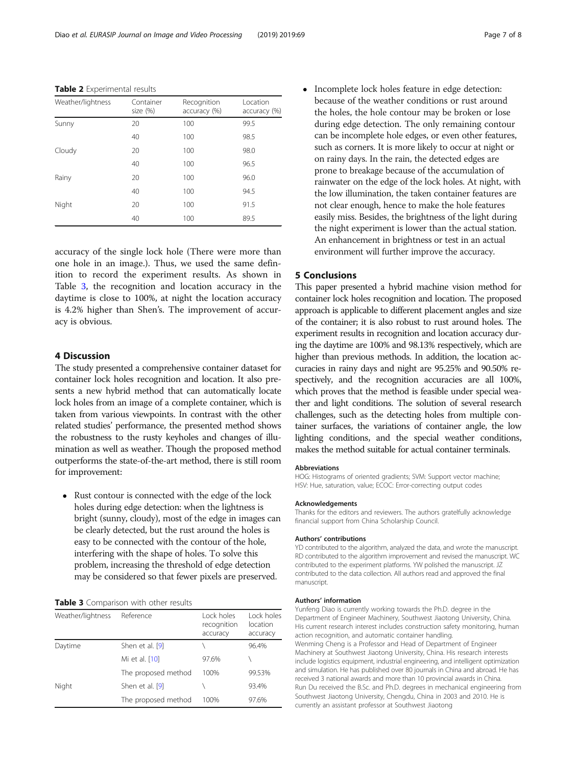<span id="page-6-0"></span>Table 2 Experimental results

| Weather/lightness | Container<br>size (%) | Recognition<br>accuracy (%) | Location<br>accuracy (%) |
|-------------------|-----------------------|-----------------------------|--------------------------|
| Sunny             | 20                    | 100                         | 99.5                     |
|                   | 40                    | 100                         | 98.5                     |
| Cloudy            | 20                    | 100                         | 98.0                     |
|                   | 40                    | 100                         | 96.5                     |
| Rainy             | 20                    | 100                         | 96.0                     |
|                   | 40                    | 100                         | 94.5                     |
| Night             | 20                    | 100                         | 91.5                     |
|                   | 40                    | 100                         | 89.5                     |

accuracy of the single lock hole (There were more than one hole in an image.). Thus, we used the same definition to record the experiment results. As shown in Table 3, the recognition and location accuracy in the daytime is close to 100%, at night the location accuracy is 4.2% higher than Shen's. The improvement of accuracy is obvious.

# 4 Discussion

The study presented a comprehensive container dataset for container lock holes recognition and location. It also presents a new hybrid method that can automatically locate lock holes from an image of a complete container, which is taken from various viewpoints. In contrast with the other related studies' performance, the presented method shows the robustness to the rusty keyholes and changes of illumination as well as weather. Though the proposed method outperforms the state-of-the-art method, there is still room for improvement:

• Rust contour is connected with the edge of the lock holes during edge detection: when the lightness is bright (sunny, cloudy), most of the edge in images can be clearly detected, but the rust around the holes is easy to be connected with the contour of the hole, interfering with the shape of holes. To solve this problem, increasing the threshold of edge detection may be considered so that fewer pixels are preserved.

#### Table 3 Comparison with other results

| Weather/lightness | Reference           | Lock holes<br>recognition<br>accuracy | Lock holes<br>location<br>accuracy |
|-------------------|---------------------|---------------------------------------|------------------------------------|
| Daytime           | Shen et al. [9]     |                                       | 96.4%                              |
|                   | Mi et al. [10]      | 97.6%                                 |                                    |
|                   | The proposed method | 100%                                  | 99.53%                             |
| Night             | Shen et al. [9]     |                                       | 93.4%                              |
|                   | The proposed method | 100%                                  | 97.6%                              |

• Incomplete lock holes feature in edge detection: because of the weather conditions or rust around the holes, the hole contour may be broken or lose during edge detection. The only remaining contour can be incomplete hole edges, or even other features, such as corners. It is more likely to occur at night or on rainy days. In the rain, the detected edges are prone to breakage because of the accumulation of rainwater on the edge of the lock holes. At night, with the low illumination, the taken container features are not clear enough, hence to make the hole features easily miss. Besides, the brightness of the light during the night experiment is lower than the actual station. An enhancement in brightness or test in an actual environment will further improve the accuracy.

#### 5 Conclusions

This paper presented a hybrid machine vision method for container lock holes recognition and location. The proposed approach is applicable to different placement angles and size of the container; it is also robust to rust around holes. The experiment results in recognition and location accuracy during the daytime are 100% and 98.13% respectively, which are higher than previous methods. In addition, the location accuracies in rainy days and night are 95.25% and 90.50% respectively, and the recognition accuracies are all 100%, which proves that the method is feasible under special weather and light conditions. The solution of several research challenges, such as the detecting holes from multiple container surfaces, the variations of container angle, the low lighting conditions, and the special weather conditions, makes the method suitable for actual container terminals.

#### Abbreviations

HOG: Histograms of oriented gradients; SVM: Support vector machine; HSV: Hue, saturation, value; ECOC: Error-correcting output codes

#### Acknowledgements

Thanks for the editors and reviewers. The authors gratelfully acknowledge financial support from China Scholarship Council.

#### Authors' contributions

YD contributed to the algorithm, analyzed the data, and wrote the manuscript. RD contributed to the algorithm improvement and revised the manuscript. WC contributed to the experiment platforms. YW polished the manuscript. JZ contributed to the data collection. All authors read and approved the final manuscript.

#### Authors' information

Yunfeng Diao is currently working towards the Ph.D. degree in the Department of Engineer Machinery, Southwest Jiaotong University, China. His current research interest includes construction safety monitoring, human action recognition, and automatic container handling. Wenming Cheng is a Professor and Head of Department of Engineer Machinery at Southwest Jiaotong University, China. His research interests include logistics equipment, industrial engineering, and intelligent optimization and simulation. He has published over 80 journals in China and abroad. He has received 3 national awards and more than 10 provincial awards in China. Run Du received the B.Sc. and Ph.D. degrees in mechanical engineering from Southwest Jiaotong University, Chengdu, China in 2003 and 2010. He is currently an assistant professor at Southwest Jiaotong